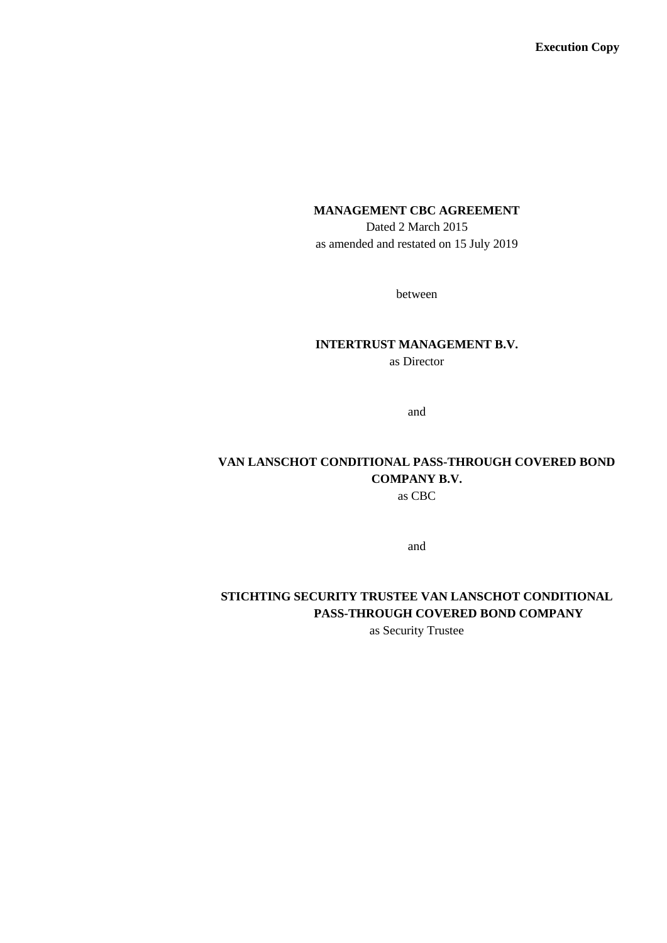**Execution Copy**

## **MANAGEMENT CBC AGREEMENT**

Dated 2 March 2015 as amended and restated on 15 July 2019

between

# **INTERTRUST MANAGEMENT B.V.**

as Director

and

## **VAN LANSCHOT CONDITIONAL PASS-THROUGH COVERED BOND COMPANY B.V.**

as CBC

and

## **STICHTING SECURITY TRUSTEE VAN LANSCHOT CONDITIONAL PASS-THROUGH COVERED BOND COMPANY**

as Security Trustee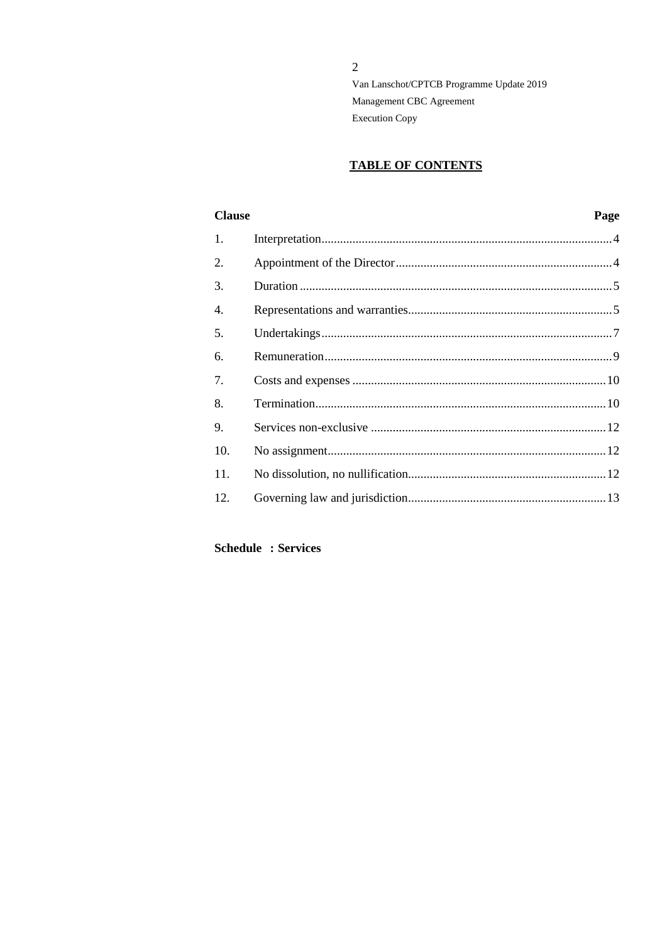### **TABLE OF CONTENTS**

| <b>Clause</b> | Page |
|---------------|------|
|               |      |
|               |      |
|               |      |
|               |      |
|               |      |
|               |      |
|               |      |
|               |      |
|               |      |
|               |      |
|               |      |
|               |      |
|               |      |

## **Schedule : Services**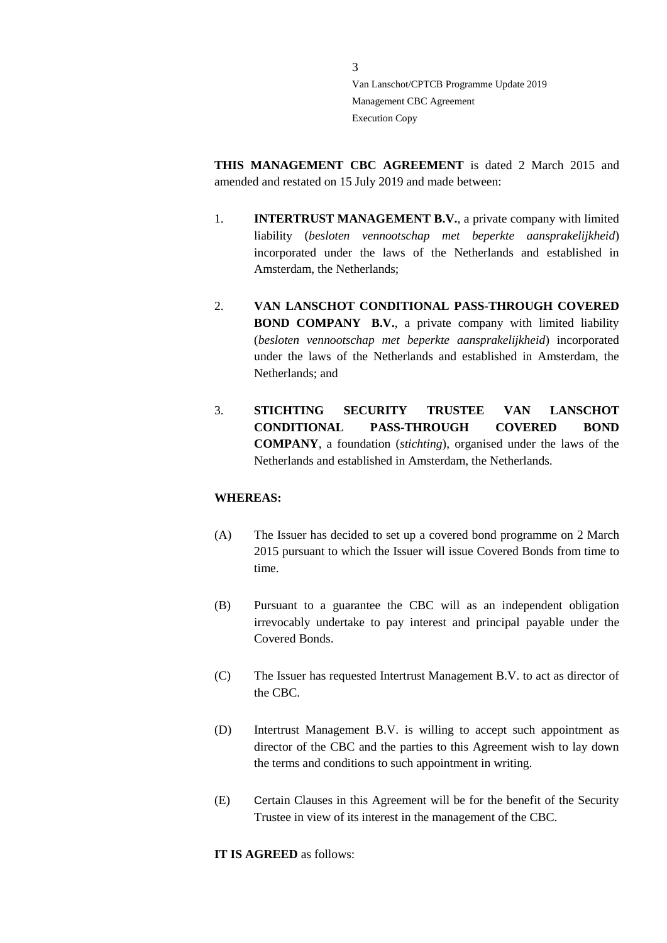**THIS MANAGEMENT CBC AGREEMENT** is dated 2 March 2015 and amended and restated on 15 July 2019 and made between:

- 1. **INTERTRUST MANAGEMENT B.V.**, a private company with limited liability (*besloten vennootschap met beperkte aansprakelijkheid*) incorporated under the laws of the Netherlands and established in Amsterdam, the Netherlands;
- 2. **VAN LANSCHOT CONDITIONAL PASS-THROUGH COVERED BOND COMPANY B.V.**, a private company with limited liability (*besloten vennootschap met beperkte aansprakelijkheid*) incorporated under the laws of the Netherlands and established in Amsterdam, the Netherlands; and
- 3. **STICHTING SECURITY TRUSTEE VAN LANSCHOT CONDITIONAL PASS-THROUGH COVERED BOND COMPANY**, a foundation (*stichting*), organised under the laws of the Netherlands and established in Amsterdam, the Netherlands.

#### **WHEREAS:**

- (A) The Issuer has decided to set up a covered bond programme on 2 March 2015 pursuant to which the Issuer will issue Covered Bonds from time to time.
- (B) Pursuant to a guarantee the CBC will as an independent obligation irrevocably undertake to pay interest and principal payable under the Covered Bonds.
- (C) The Issuer has requested Intertrust Management B.V. to act as director of the CBC.
- (D) Intertrust Management B.V. is willing to accept such appointment as director of the CBC and the parties to this Agreement wish to lay down the terms and conditions to such appointment in writing.
- (E) Certain Clauses in this Agreement will be for the benefit of the Security Trustee in view of its interest in the management of the CBC.

**IT IS AGREED** as follows: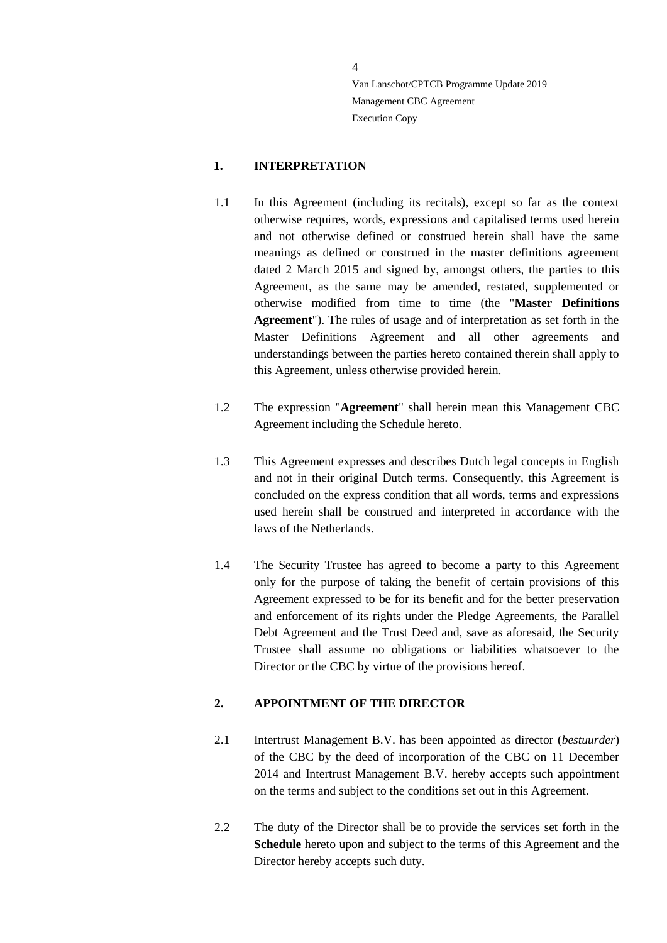#### <span id="page-3-0"></span>**1. INTERPRETATION**

- 1.1 In this Agreement (including its recitals), except so far as the context otherwise requires, words, expressions and capitalised terms used herein and not otherwise defined or construed herein shall have the same meanings as defined or construed in the master definitions agreement dated 2 March 2015 and signed by, amongst others, the parties to this Agreement, as the same may be amended, restated, supplemented or otherwise modified from time to time (the "**Master Definitions Agreement**"). The rules of usage and of interpretation as set forth in the Master Definitions Agreement and all other agreements and understandings between the parties hereto contained therein shall apply to this Agreement, unless otherwise provided herein.
- 1.2 The expression "**Agreement**" shall herein mean this Management CBC Agreement including the Schedule hereto.
- 1.3 This Agreement expresses and describes Dutch legal concepts in English and not in their original Dutch terms. Consequently, this Agreement is concluded on the express condition that all words, terms and expressions used herein shall be construed and interpreted in accordance with the laws of the Netherlands.
- 1.4 The Security Trustee has agreed to become a party to this Agreement only for the purpose of taking the benefit of certain provisions of this Agreement expressed to be for its benefit and for the better preservation and enforcement of its rights under the Pledge Agreements, the Parallel Debt Agreement and the Trust Deed and, save as aforesaid, the Security Trustee shall assume no obligations or liabilities whatsoever to the Director or the CBC by virtue of the provisions hereof.

#### <span id="page-3-1"></span>**2. APPOINTMENT OF THE DIRECTOR**

- 2.1 Intertrust Management B.V. has been appointed as director (*bestuurder*) of the CBC by the deed of incorporation of the CBC on 11 December 2014 and Intertrust Management B.V. hereby accepts such appointment on the terms and subject to the conditions set out in this Agreement.
- 2.2 The duty of the Director shall be to provide the services set forth in the **Schedule** hereto upon and subject to the terms of this Agreement and the Director hereby accepts such duty.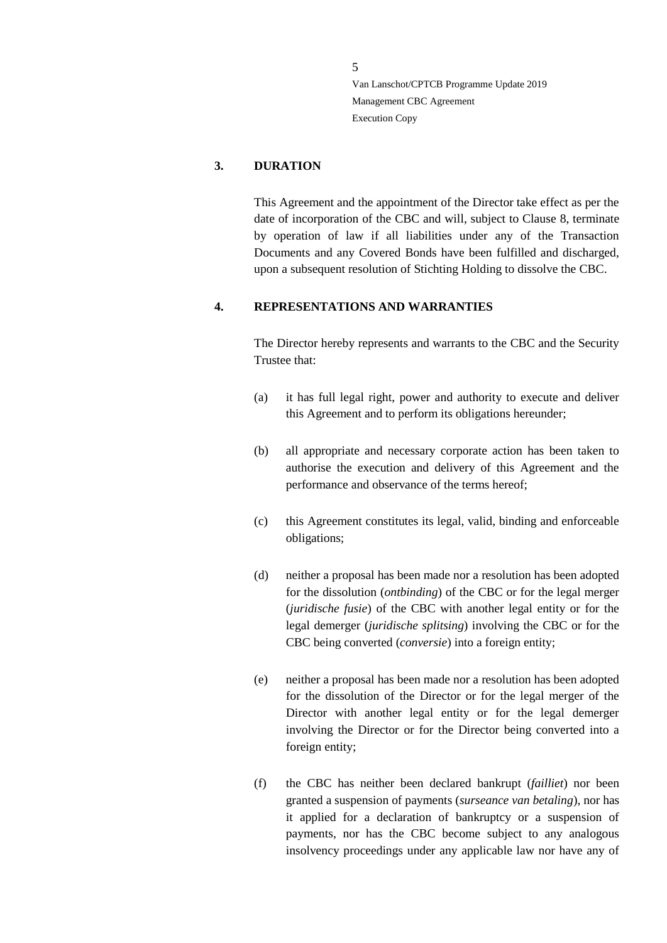#### <span id="page-4-0"></span>**3. DURATION**

This Agreement and the appointment of the Director take effect as per the date of incorporation of the CBC and will, subject to Clause 8, terminate by operation of law if all liabilities under any of the Transaction Documents and any Covered Bonds have been fulfilled and discharged, upon a subsequent resolution of Stichting Holding to dissolve the CBC.

#### <span id="page-4-1"></span>**4. REPRESENTATIONS AND WARRANTIES**

The Director hereby represents and warrants to the CBC and the Security Trustee that:

- (a) it has full legal right, power and authority to execute and deliver this Agreement and to perform its obligations hereunder;
- (b) all appropriate and necessary corporate action has been taken to authorise the execution and delivery of this Agreement and the performance and observance of the terms hereof;
- (c) this Agreement constitutes its legal, valid, binding and enforceable obligations;
- (d) neither a proposal has been made nor a resolution has been adopted for the dissolution (*ontbinding*) of the CBC or for the legal merger (*juridische fusie*) of the CBC with another legal entity or for the legal demerger (*juridische splitsing*) involving the CBC or for the CBC being converted (*conversie*) into a foreign entity;
- (e) neither a proposal has been made nor a resolution has been adopted for the dissolution of the Director or for the legal merger of the Director with another legal entity or for the legal demerger involving the Director or for the Director being converted into a foreign entity;
- (f) the CBC has neither been declared bankrupt (*failliet*) nor been granted a suspension of payments (*surseance van betaling*), nor has it applied for a declaration of bankruptcy or a suspension of payments, nor has the CBC become subject to any analogous insolvency proceedings under any applicable law nor have any of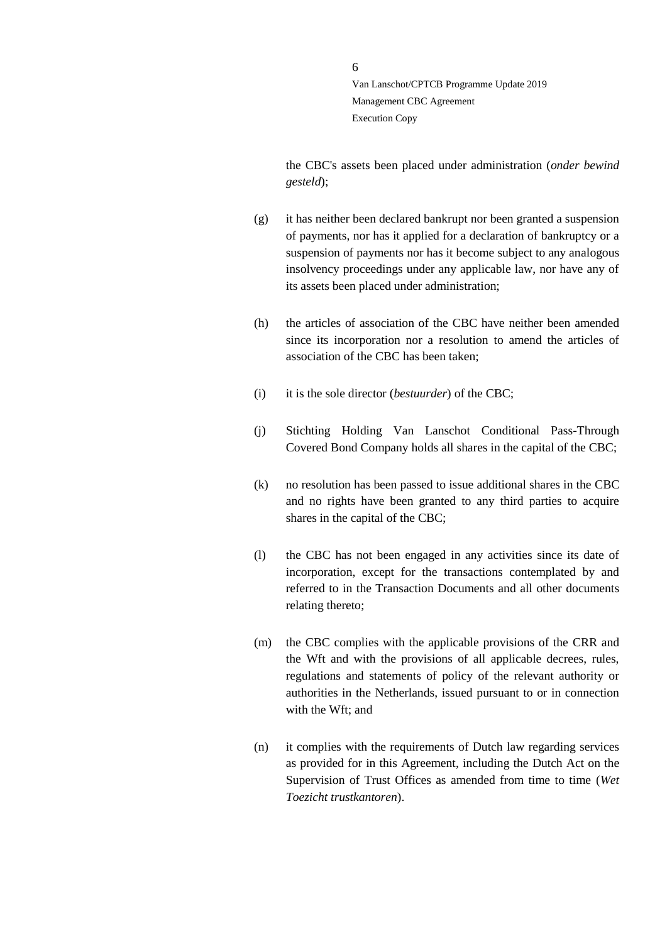the CBC's assets been placed under administration (*onder bewind gesteld*);

- (g) it has neither been declared bankrupt nor been granted a suspension of payments, nor has it applied for a declaration of bankruptcy or a suspension of payments nor has it become subject to any analogous insolvency proceedings under any applicable law, nor have any of its assets been placed under administration;
- (h) the articles of association of the CBC have neither been amended since its incorporation nor a resolution to amend the articles of association of the CBC has been taken;
- (i) it is the sole director (*bestuurder*) of the CBC;
- (j) Stichting Holding Van Lanschot Conditional Pass-Through Covered Bond Company holds all shares in the capital of the CBC;
- (k) no resolution has been passed to issue additional shares in the CBC and no rights have been granted to any third parties to acquire shares in the capital of the CBC;
- (l) the CBC has not been engaged in any activities since its date of incorporation, except for the transactions contemplated by and referred to in the Transaction Documents and all other documents relating thereto;
- (m) the CBC complies with the applicable provisions of the CRR and the Wft and with the provisions of all applicable decrees, rules, regulations and statements of policy of the relevant authority or authorities in the Netherlands, issued pursuant to or in connection with the Wft; and
- (n) it complies with the requirements of Dutch law regarding services as provided for in this Agreement, including the Dutch Act on the Supervision of Trust Offices as amended from time to time (*Wet Toezicht trustkantoren*).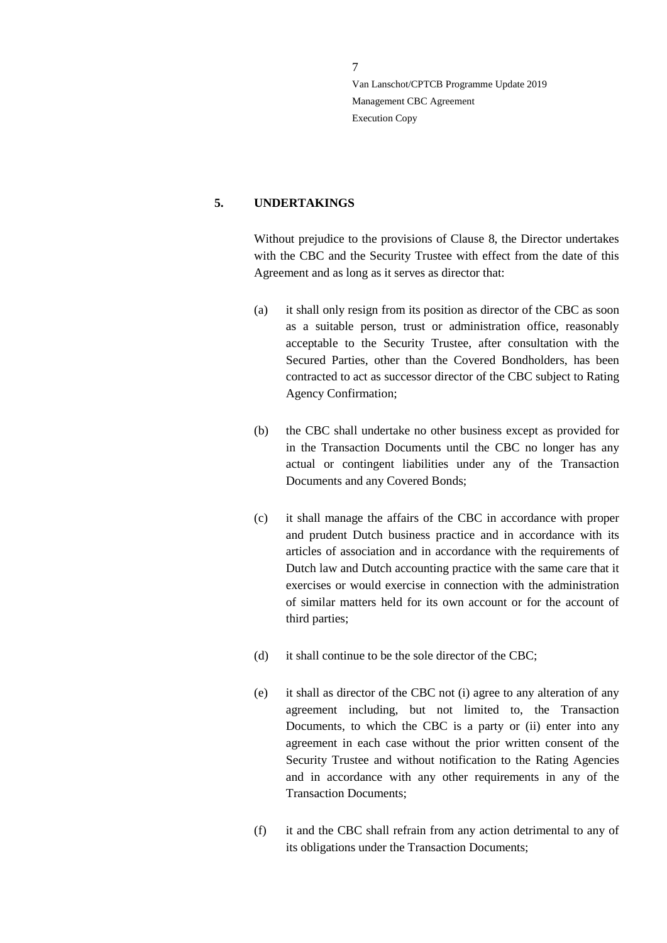#### <span id="page-6-0"></span>**5. UNDERTAKINGS**

Without prejudice to the provisions of Clause 8, the Director undertakes with the CBC and the Security Trustee with effect from the date of this Agreement and as long as it serves as director that:

- <span id="page-6-1"></span>(a) it shall only resign from its position as director of the CBC as soon as a suitable person, trust or administration office, reasonably acceptable to the Security Trustee, after consultation with the Secured Parties, other than the Covered Bondholders, has been contracted to act as successor director of the CBC subject to Rating Agency Confirmation;
- (b) the CBC shall undertake no other business except as provided for in the Transaction Documents until the CBC no longer has any actual or contingent liabilities under any of the Transaction Documents and any Covered Bonds;
- (c) it shall manage the affairs of the CBC in accordance with proper and prudent Dutch business practice and in accordance with its articles of association and in accordance with the requirements of Dutch law and Dutch accounting practice with the same care that it exercises or would exercise in connection with the administration of similar matters held for its own account or for the account of third parties;
- (d) it shall continue to be the sole director of the CBC;
- (e) it shall as director of the CBC not (i) agree to any alteration of any agreement including, but not limited to, the Transaction Documents, to which the CBC is a party or (ii) enter into any agreement in each case without the prior written consent of the Security Trustee and without notification to the Rating Agencies and in accordance with any other requirements in any of the Transaction Documents;
- (f) it and the CBC shall refrain from any action detrimental to any of its obligations under the Transaction Documents;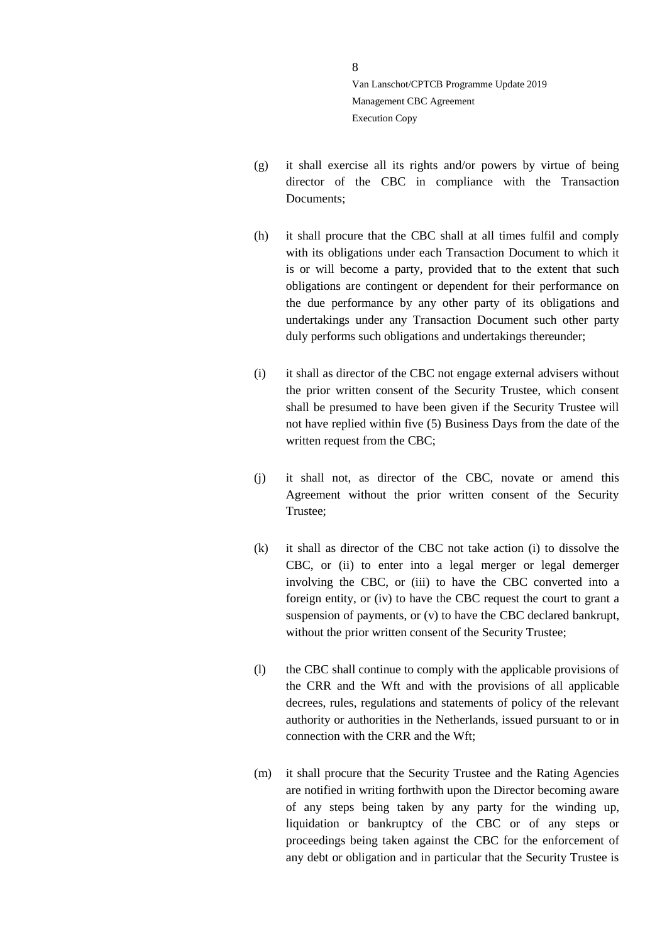- (g) it shall exercise all its rights and/or powers by virtue of being director of the CBC in compliance with the Transaction Documents;
- (h) it shall procure that the CBC shall at all times fulfil and comply with its obligations under each Transaction Document to which it is or will become a party, provided that to the extent that such obligations are contingent or dependent for their performance on the due performance by any other party of its obligations and undertakings under any Transaction Document such other party duly performs such obligations and undertakings thereunder;
- (i) it shall as director of the CBC not engage external advisers without the prior written consent of the Security Trustee, which consent shall be presumed to have been given if the Security Trustee will not have replied within five (5) Business Days from the date of the written request from the CBC;
- (j) it shall not, as director of the CBC, novate or amend this Agreement without the prior written consent of the Security Trustee;
- (k) it shall as director of the CBC not take action (i) to dissolve the CBC, or (ii) to enter into a legal merger or legal demerger involving the CBC, or (iii) to have the CBC converted into a foreign entity, or (iv) to have the CBC request the court to grant a suspension of payments, or (v) to have the CBC declared bankrupt, without the prior written consent of the Security Trustee;
- (l) the CBC shall continue to comply with the applicable provisions of the CRR and the Wft and with the provisions of all applicable decrees, rules, regulations and statements of policy of the relevant authority or authorities in the Netherlands, issued pursuant to or in connection with the CRR and the Wft;
- (m) it shall procure that the Security Trustee and the Rating Agencies are notified in writing forthwith upon the Director becoming aware of any steps being taken by any party for the winding up, liquidation or bankruptcy of the CBC or of any steps or proceedings being taken against the CBC for the enforcement of any debt or obligation and in particular that the Security Trustee is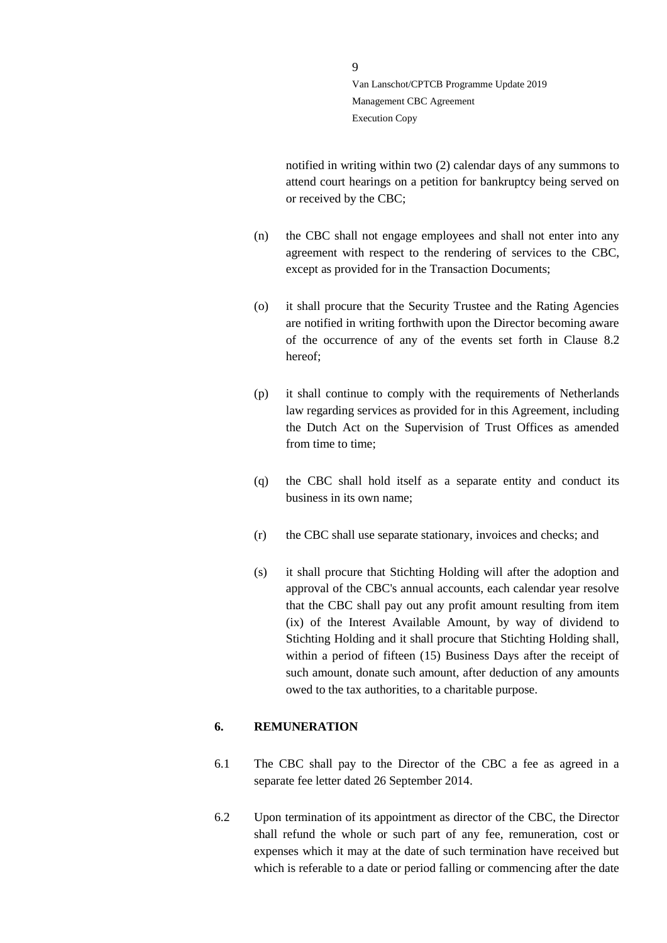notified in writing within two (2) calendar days of any summons to attend court hearings on a petition for bankruptcy being served on or received by the CBC;

- (n) the CBC shall not engage employees and shall not enter into any agreement with respect to the rendering of services to the CBC, except as provided for in the Transaction Documents;
- (o) it shall procure that the Security Trustee and the Rating Agencies are notified in writing forthwith upon the Director becoming aware of the occurrence of any of the events set forth in Clause 8.2 hereof;
- (p) it shall continue to comply with the requirements of Netherlands law regarding services as provided for in this Agreement, including the Dutch Act on the Supervision of Trust Offices as amended from time to time;
- (q) the CBC shall hold itself as a separate entity and conduct its business in its own name;
- (r) the CBC shall use separate stationary, invoices and checks; and
- (s) it shall procure that Stichting Holding will after the adoption and approval of the CBC's annual accounts, each calendar year resolve that the CBC shall pay out any profit amount resulting from item (ix) of the Interest Available Amount, by way of dividend to Stichting Holding and it shall procure that Stichting Holding shall, within a period of fifteen (15) Business Days after the receipt of such amount, donate such amount, after deduction of any amounts owed to the tax authorities, to a charitable purpose.

#### <span id="page-8-0"></span>**6. REMUNERATION**

- 6.1 The CBC shall pay to the Director of the CBC a fee as agreed in a separate fee letter dated 26 September 2014.
- 6.2 Upon termination of its appointment as director of the CBC, the Director shall refund the whole or such part of any fee, remuneration, cost or expenses which it may at the date of such termination have received but which is referable to a date or period falling or commencing after the date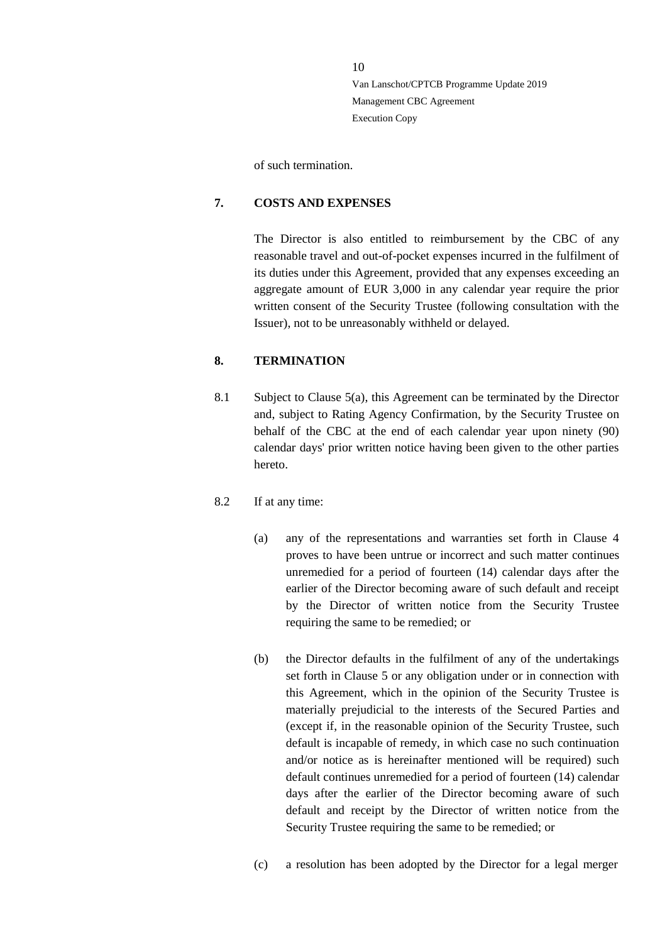of such termination.

#### <span id="page-9-0"></span>**7. COSTS AND EXPENSES**

The Director is also entitled to reimbursement by the CBC of any reasonable travel and out-of-pocket expenses incurred in the fulfilment of its duties under this Agreement, provided that any expenses exceeding an aggregate amount of EUR 3,000 in any calendar year require the prior written consent of the Security Trustee (following consultation with the Issuer), not to be unreasonably withheld or delayed.

#### <span id="page-9-1"></span>**8. TERMINATION**

8.1 Subject to Clause [5\(a\),](#page-6-1) this Agreement can be terminated by the Director and, subject to Rating Agency Confirmation, by the Security Trustee on behalf of the CBC at the end of each calendar year upon ninety (90) calendar days' prior written notice having been given to the other parties hereto.

#### 8.2 If at any time:

- (a) any of the representations and warranties set forth in Clause 4 proves to have been untrue or incorrect and such matter continues unremedied for a period of fourteen (14) calendar days after the earlier of the Director becoming aware of such default and receipt by the Director of written notice from the Security Trustee requiring the same to be remedied; or
- (b) the Director defaults in the fulfilment of any of the undertakings set forth in Clause 5 or any obligation under or in connection with this Agreement, which in the opinion of the Security Trustee is materially prejudicial to the interests of the Secured Parties and (except if, in the reasonable opinion of the Security Trustee, such default is incapable of remedy, in which case no such continuation and/or notice as is hereinafter mentioned will be required) such default continues unremedied for a period of fourteen (14) calendar days after the earlier of the Director becoming aware of such default and receipt by the Director of written notice from the Security Trustee requiring the same to be remedied; or
- (c) a resolution has been adopted by the Director for a legal merger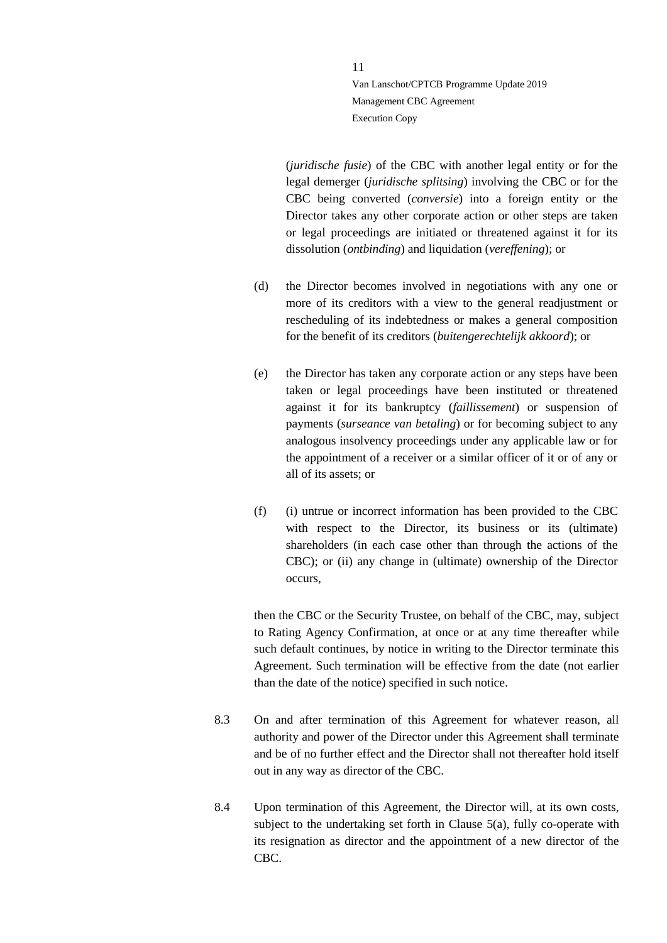(*juridische fusie*) of the CBC with another legal entity or for the legal demerger (*juridische splitsing*) involving the CBC or for the CBC being converted (*conversie*) into a foreign entity or the Director takes any other corporate action or other steps are taken or legal proceedings are initiated or threatened against it for its dissolution (*ontbinding*) and liquidation (*vereffening*); or

- (d) the Director becomes involved in negotiations with any one or more of its creditors with a view to the general readjustment or rescheduling of its indebtedness or makes a general composition for the benefit of its creditors (*buitengerechtelijk akkoord*); or
- (e) the Director has taken any corporate action or any steps have been taken or legal proceedings have been instituted or threatened against it for its bankruptcy (*faillissement*) or suspension of payments (*surseance van betaling*) or for becoming subject to any analogous insolvency proceedings under any applicable law or for the appointment of a receiver or a similar officer of it or of any or all of its assets; or
- (f) (i) untrue or incorrect information has been provided to the CBC with respect to the Director, its business or its (ultimate) shareholders (in each case other than through the actions of the CBC); or (ii) any change in (ultimate) ownership of the Director occurs,

then the CBC or the Security Trustee, on behalf of the CBC, may, subject to Rating Agency Confirmation, at once or at any time thereafter while such default continues, by notice in writing to the Director terminate this Agreement. Such termination will be effective from the date (not earlier than the date of the notice) specified in such notice.

- 8.3 On and after termination of this Agreement for whatever reason, all authority and power of the Director under this Agreement shall terminate and be of no further effect and the Director shall not thereafter hold itself out in any way as director of the CBC.
- 8.4 Upon termination of this Agreement, the Director will, at its own costs, subject to the undertaking set forth in Clause [5\(a\),](#page-6-1) fully co-operate with its resignation as director and the appointment of a new director of the CBC.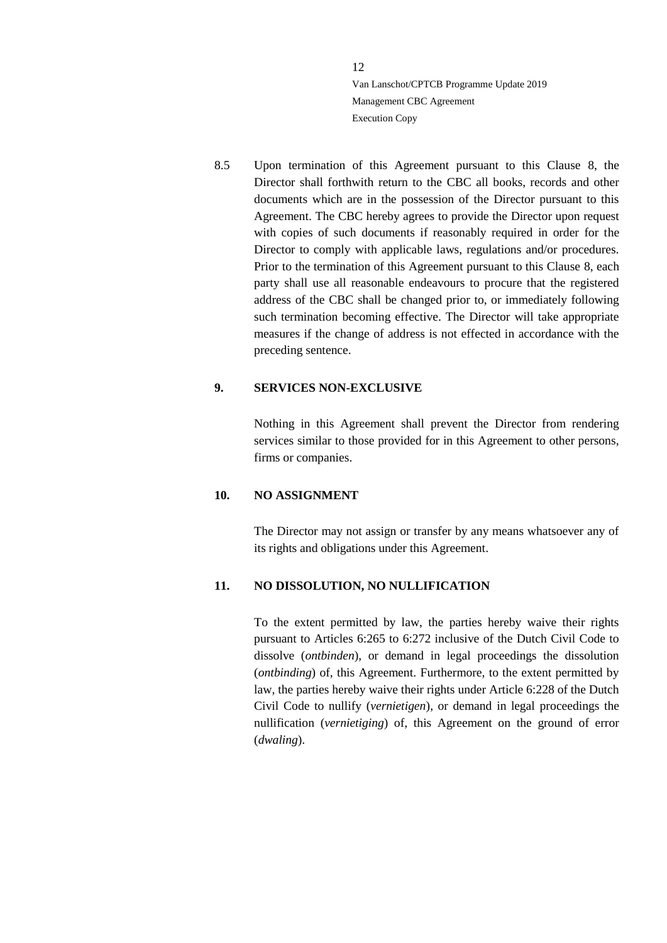8.5 Upon termination of this Agreement pursuant to this Clause 8, the Director shall forthwith return to the CBC all books, records and other documents which are in the possession of the Director pursuant to this Agreement. The CBC hereby agrees to provide the Director upon request with copies of such documents if reasonably required in order for the Director to comply with applicable laws, regulations and/or procedures. Prior to the termination of this Agreement pursuant to this Clause 8, each party shall use all reasonable endeavours to procure that the registered address of the CBC shall be changed prior to, or immediately following such termination becoming effective. The Director will take appropriate measures if the change of address is not effected in accordance with the preceding sentence.

#### <span id="page-11-0"></span>**9. SERVICES NON-EXCLUSIVE**

Nothing in this Agreement shall prevent the Director from rendering services similar to those provided for in this Agreement to other persons, firms or companies.

#### <span id="page-11-1"></span>**10. NO ASSIGNMENT**

The Director may not assign or transfer by any means whatsoever any of its rights and obligations under this Agreement.

#### <span id="page-11-2"></span>**11. NO DISSOLUTION, NO NULLIFICATION**

To the extent permitted by law, the parties hereby waive their rights pursuant to Articles 6:265 to 6:272 inclusive of the Dutch Civil Code to dissolve (*ontbinden*), or demand in legal proceedings the dissolution (*ontbinding*) of, this Agreement. Furthermore, to the extent permitted by law, the parties hereby waive their rights under Article 6:228 of the Dutch Civil Code to nullify (*vernietigen*), or demand in legal proceedings the nullification (*vernietiging*) of, this Agreement on the ground of error (*dwaling*).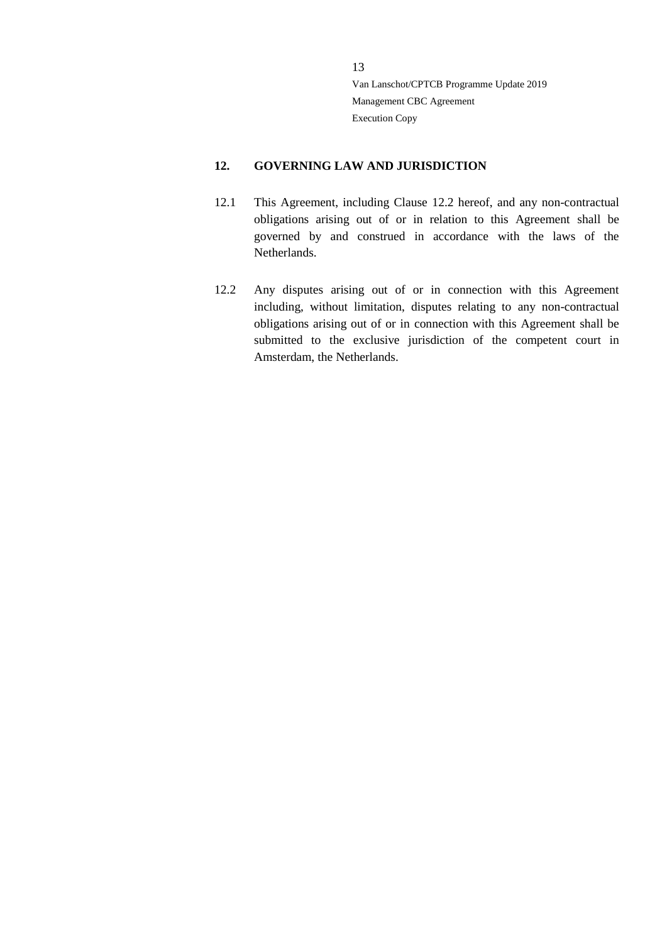#### <span id="page-12-0"></span>**12. GOVERNING LAW AND JURISDICTION**

- 12.1 This Agreement, including Clause 12.2 hereof, and any non-contractual obligations arising out of or in relation to this Agreement shall be governed by and construed in accordance with the laws of the Netherlands.
- 12.2 Any disputes arising out of or in connection with this Agreement including, without limitation, disputes relating to any non-contractual obligations arising out of or in connection with this Agreement shall be submitted to the exclusive jurisdiction of the competent court in Amsterdam, the Netherlands.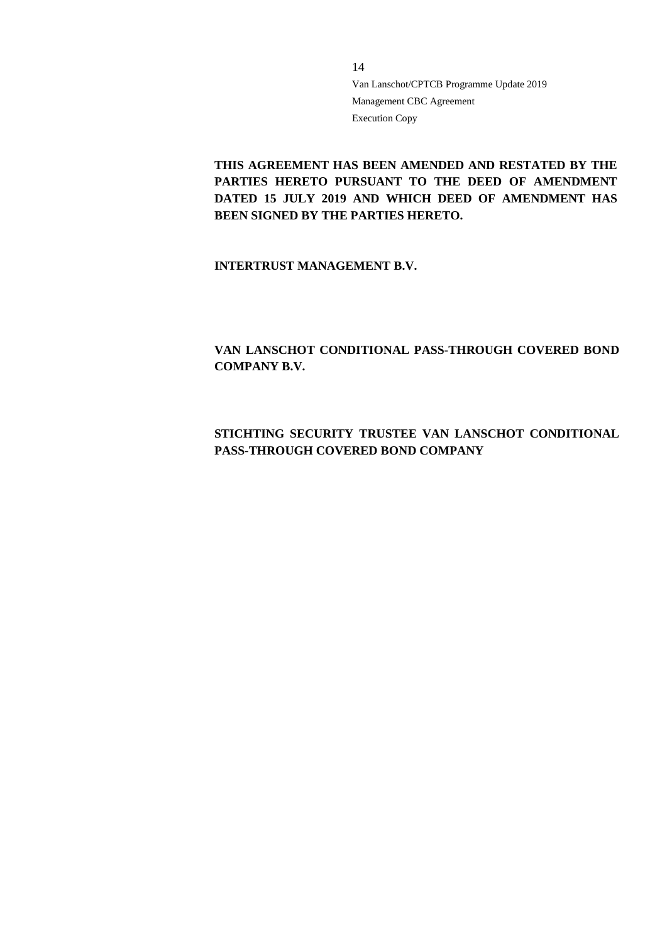**THIS AGREEMENT HAS BEEN AMENDED AND RESTATED BY THE PARTIES HERETO PURSUANT TO THE DEED OF AMENDMENT DATED 15 JULY 2019 AND WHICH DEED OF AMENDMENT HAS BEEN SIGNED BY THE PARTIES HERETO.**

**INTERTRUST MANAGEMENT B.V.**

**VAN LANSCHOT CONDITIONAL PASS-THROUGH COVERED BOND COMPANY B.V.**

## **STICHTING SECURITY TRUSTEE VAN LANSCHOT CONDITIONAL PASS-THROUGH COVERED BOND COMPANY**